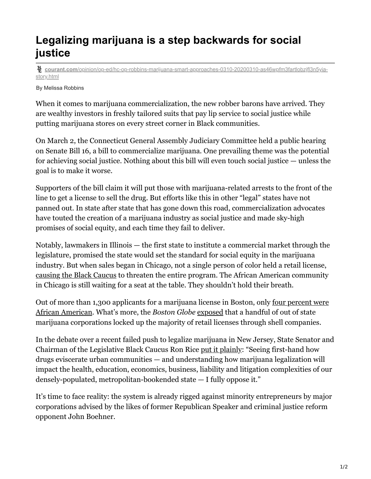## **Legalizing marijuana is a step backwards for social justice**

**courant.com**[/opinion/op-ed/hc-op-robbins-marijuana-smart-approaches-0310-20200310-as46wpfm3fartlobzjfl3n5yia](https://www.courant.com/opinion/op-ed/hc-op-robbins-marijuana-smart-approaches-0310-20200310-as46wpfm3fartlobzjfl3n5yia-story.html)story.html

By Melissa Robbins

When it comes to marijuana commercialization, the new robber barons have arrived. They are wealthy investors in freshly tailored suits that pay lip service to social justice while putting marijuana stores on every street corner in Black communities.

On March 2, the Connecticut General Assembly Judiciary Committee held a public hearing on Senate Bill 16, a bill to commercialize marijuana. One prevailing theme was the potential for achieving social justice. Nothing about this bill will even touch social justice — unless the goal is to make it worse.

Supporters of the bill claim it will put those with marijuana-related arrests to the front of the line to get a license to sell the drug. But efforts like this in other "legal" states have not panned out. In state after state that has gone down this road, commercialization advocates have touted the creation of a marijuana industry as social justice and made sky-high promises of social equity, and each time they fail to deliver.

Notably, lawmakers in Illinois — the first state to institute a commercial market through the legislature, promised the state would set the standard for social equity in the marijuana industry. But when sales began in Chicago, not a single person of color held a retail license, [causing the Black Caucus](https://www.chicagotribune.com/opinion/commentary/ct-opinion-marijuana-business-black-equity-20191029-h27khmwkq5gnhjuexpkupwoyki-story.html) to threaten the entire program. The African American community in Chicago is still waiting for a seat at the table. They shouldn't hold their breath.

[Out of more than 1,300 applicants for a marijuana license in Boston, only four percent were](https://www.masslive.com/politics/2018/12/boston_grapples_with_lack_of_d.html) African American. What's more, the *Boston Globe* [exposed](https://www.bostonglobe.com/metro/2019/03/27/massachusetts-marijuana-regulators-investigating-whether-companies-violating-ownership-limits/jshf4znu16AaNxD3P1NdBK/story.html) that a handful of out of state marijuana corporations locked up the majority of retail licenses through shell companies.

In the debate over a recent failed push to legalize marijuana in New Jersey, State Senator and Chairman of the Legislative Black Caucus Ron Rice [put it plainly](https://www.nj.com/opinion/2019/10/sen-rice-legalizing-pot-wont-stop-social-injustice-in-the-black-and-brown-community.html): "Seeing first-hand how drugs eviscerate urban communities — and understanding how marijuana legalization will impact the health, education, economics, business, liability and litigation complexities of our densely-populated, metropolitan-bookended state — I fully oppose it."

It's time to face reality: the system is already rigged against minority entrepreneurs by major corporations advised by the likes of former Republican Speaker and criminal justice reform opponent John Boehner.